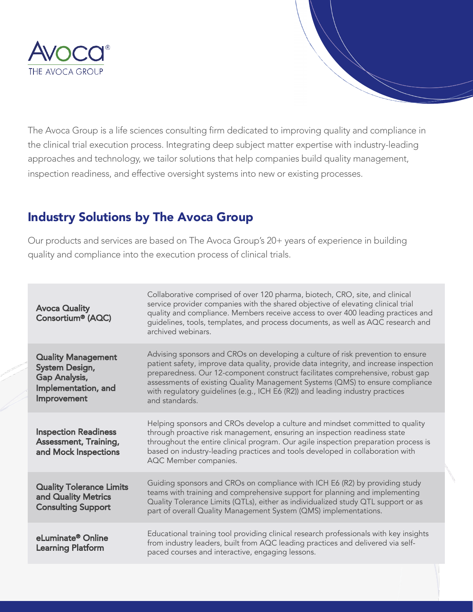

The Avoca Group is a life sciences consulting firm dedicated to improving quality and compliance in the clinical trial execution process. Integrating deep subject matter expertise with industry-leading approaches and technology, we tailor solutions that help companies build quality management, inspection readiness, and effective oversight systems into new or existing processes.

## Industry Solutions by The Avoca Group

Our products and services are based on The Avoca Group's 20+ years of experience in building quality and compliance into the execution process of clinical trials.

| <b>Avoca Quality</b><br>Consortium® (AQC)                                                          | Collaborative comprised of over 120 pharma, biotech, CRO, site, and clinical<br>service provider companies with the shared objective of elevating clinical trial<br>quality and compliance. Members receive access to over 400 leading practices and<br>guidelines, tools, templates, and process documents, as well as AQC research and<br>archived webinars.                                                                                 |
|----------------------------------------------------------------------------------------------------|------------------------------------------------------------------------------------------------------------------------------------------------------------------------------------------------------------------------------------------------------------------------------------------------------------------------------------------------------------------------------------------------------------------------------------------------|
| <b>Quality Management</b><br>System Design,<br>Gap Analysis,<br>Implementation, and<br>Improvement | Advising sponsors and CROs on developing a culture of risk prevention to ensure<br>patient safety, improve data quality, provide data integrity, and increase inspection<br>preparedness. Our 12-component construct facilitates comprehensive, robust gap<br>assessments of existing Quality Management Systems (QMS) to ensure compliance<br>with regulatory guidelines (e.g., ICH E6 (R2)) and leading industry practices<br>and standards. |
| <b>Inspection Readiness</b><br><b>Assessment, Training,</b><br>and Mock Inspections                | Helping sponsors and CROs develop a culture and mindset committed to quality<br>through proactive risk management, ensuring an inspection readiness state<br>throughout the entire clinical program. Our agile inspection preparation process is<br>based on industry-leading practices and tools developed in collaboration with<br>AQC Member companies.                                                                                     |
| <b>Quality Tolerance Limits</b><br>and Quality Metrics<br><b>Consulting Support</b>                | Guiding sponsors and CROs on compliance with ICH E6 (R2) by providing study<br>teams with training and comprehensive support for planning and implementing<br>Quality Tolerance Limits (QTLs), either as individualized study QTL support or as<br>part of overall Quality Management System (QMS) implementations.                                                                                                                            |
| eLuminate® Online<br><b>Learning Platform</b>                                                      | Educational training tool providing clinical research professionals with key insights<br>from industry leaders, built from AQC leading practices and delivered via self-<br>paced courses and interactive, engaging lessons.                                                                                                                                                                                                                   |